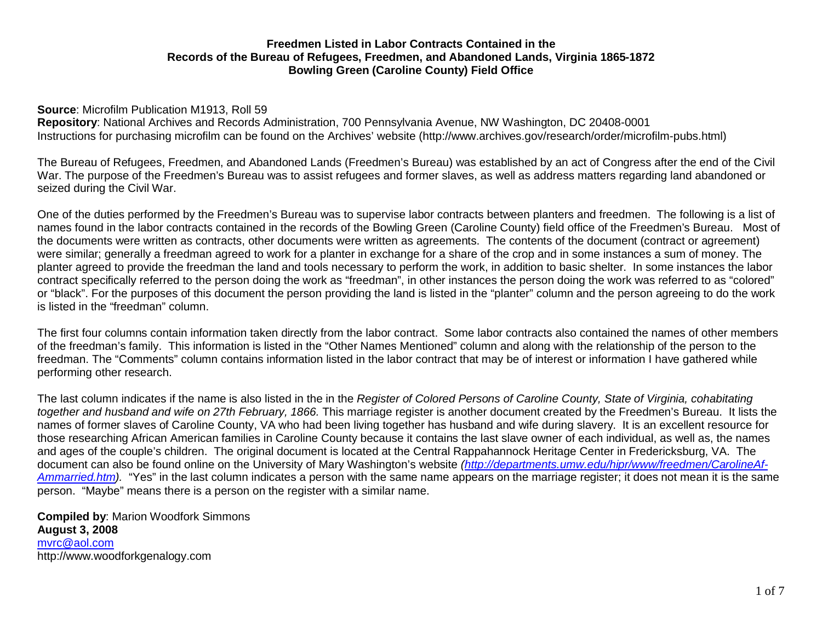#### **Source**: Microfilm Publication M1913, Roll 59

**Repository**: National Archives and Records Administration, 700 Pennsylvania Avenue, NW Washington, DC 20408-0001 Instructions for purchasing microfilm can be found on the Archives' website (http://www.archives.gov/research/order/microfilm-pubs.html)

The Bureau of Refugees, Freedmen, and Abandoned Lands (Freedmen's Bureau) was established by an act of Congress after the end of the Civil War. The purpose of the Freedmen's Bureau was to assist refugees and former slaves, as well as address matters regarding land abandoned or seized during the Civil War.

One of the duties performed by the Freedmen's Bureau was to supervise labor contracts between planters and freedmen. The following is a list of names found in the labor contracts contained in the records of the Bowling Green (Caroline County) field office of the Freedmen's Bureau. Most of the documents were written as contracts, other documents were written as agreements. The contents of the document (contract or agreement) were similar; generally a freedman agreed to work for a planter in exchange for a share of the crop and in some instances a sum of money. The planter agreed to provide the freedman the land and tools necessary to perform the work, in addition to basic shelter. In some instances the labor contract specifically referred to the person doing the work as "freedman", in other instances the person doing the work was referred to as "colored" or "black". For the purposes of this document the person providing the land is listed in the "planter" column and the person agreeing to do the work is listed in the "freedman" column.

The first four columns contain information taken directly from the labor contract. Some labor contracts also contained the names of other members of the freedman's family. This information is listed in the "Other Names Mentioned" column and along with the relationship of the person to the freedman. The "Comments" column contains information listed in the labor contract that may be of interest or information I have gathered while performing other research.

The last column indicates if the name is also listed in the in the *Register of Colored Persons of Caroline County, State of Virginia, cohabitating together and husband and wife on 27th February, 1866.* This marriage register is another document created by the Freedmen's Bureau. It lists the names of former slaves of Caroline County, VA who had been living together has husband and wife during slavery. It is an excellent resource for those researching African American families in Caroline County because it contains the last slave owner of each individual, as well as, the names and ages of the couple's children. The original document is located at the Central Rappahannock Heritage Center in Fredericksburg, VA. The document can also be found online on the University of Mary Washington's website *(http://departments.umw.edu/hipr/www/freedmen/CarolineAf-Ammarried.htm).* "Yes" in the last column indicates a person with the same name appears on the marriage register; it does not mean it is the same person. "Maybe" means there is a person on the register with a similar name.

**Compiled by**: Marion Woodfork Simmons **August 3, 2008** mvrc@aol.com http://www.woodforkgenalogy.com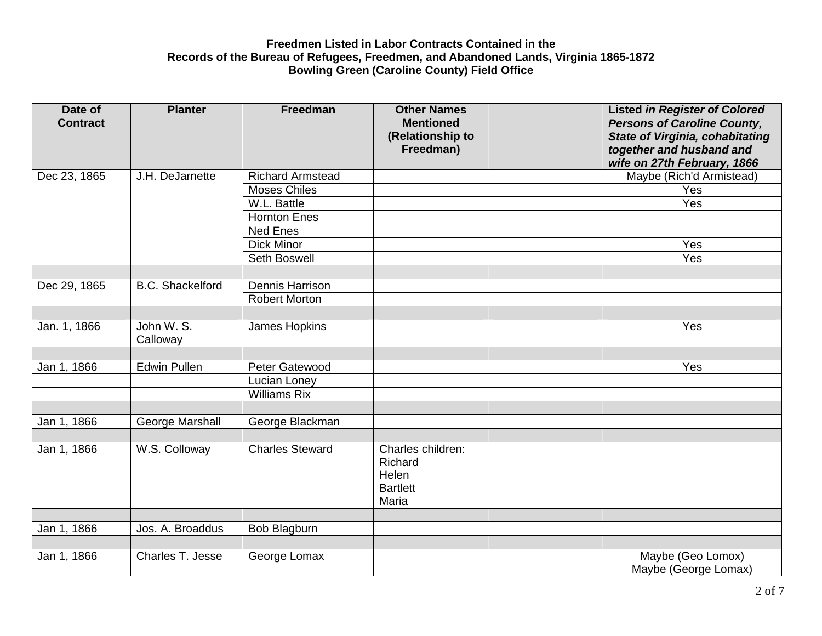| Date of<br><b>Contract</b> | <b>Planter</b>          | Freedman                | <b>Other Names</b><br><b>Mentioned</b><br>(Relationship to        | <b>Listed in Register of Colored</b><br><b>Persons of Caroline County,</b><br><b>State of Virginia, cohabitating</b> |
|----------------------------|-------------------------|-------------------------|-------------------------------------------------------------------|----------------------------------------------------------------------------------------------------------------------|
|                            |                         |                         | Freedman)                                                         | together and husband and<br>wife on 27th February, 1866                                                              |
| Dec 23, 1865               | J.H. DeJarnette         | <b>Richard Armstead</b> |                                                                   | Maybe (Rich'd Armistead)                                                                                             |
|                            |                         | <b>Moses Chiles</b>     |                                                                   | Yes                                                                                                                  |
|                            |                         | W.L. Battle             |                                                                   | Yes                                                                                                                  |
|                            |                         | <b>Hornton Enes</b>     |                                                                   |                                                                                                                      |
|                            |                         | <b>Ned Enes</b>         |                                                                   |                                                                                                                      |
|                            |                         | <b>Dick Minor</b>       |                                                                   | Yes                                                                                                                  |
|                            |                         | Seth Boswell            |                                                                   | Yes                                                                                                                  |
|                            |                         |                         |                                                                   |                                                                                                                      |
| Dec 29, 1865               | <b>B.C.</b> Shackelford | Dennis Harrison         |                                                                   |                                                                                                                      |
|                            |                         | <b>Robert Morton</b>    |                                                                   |                                                                                                                      |
|                            |                         |                         |                                                                   |                                                                                                                      |
| Jan. 1, 1866               | John W. S.<br>Calloway  | James Hopkins           |                                                                   | Yes                                                                                                                  |
|                            |                         |                         |                                                                   |                                                                                                                      |
| Jan 1, 1866                | <b>Edwin Pullen</b>     | Peter Gatewood          |                                                                   | Yes                                                                                                                  |
|                            |                         | Lucian Loney            |                                                                   |                                                                                                                      |
|                            |                         | <b>Williams Rix</b>     |                                                                   |                                                                                                                      |
|                            |                         |                         |                                                                   |                                                                                                                      |
| Jan 1, 1866                | George Marshall         | George Blackman         |                                                                   |                                                                                                                      |
|                            |                         |                         |                                                                   |                                                                                                                      |
| Jan 1, 1866                | W.S. Colloway           | <b>Charles Steward</b>  | Charles children:<br>Richard<br>Helen<br><b>Bartlett</b><br>Maria |                                                                                                                      |
|                            |                         |                         |                                                                   |                                                                                                                      |
| Jan 1, 1866                | Jos. A. Broaddus        | Bob Blagburn            |                                                                   |                                                                                                                      |
|                            |                         |                         |                                                                   |                                                                                                                      |
| Jan 1, 1866                | Charles T. Jesse        | George Lomax            |                                                                   | Maybe (Geo Lomox)<br>Maybe (George Lomax)                                                                            |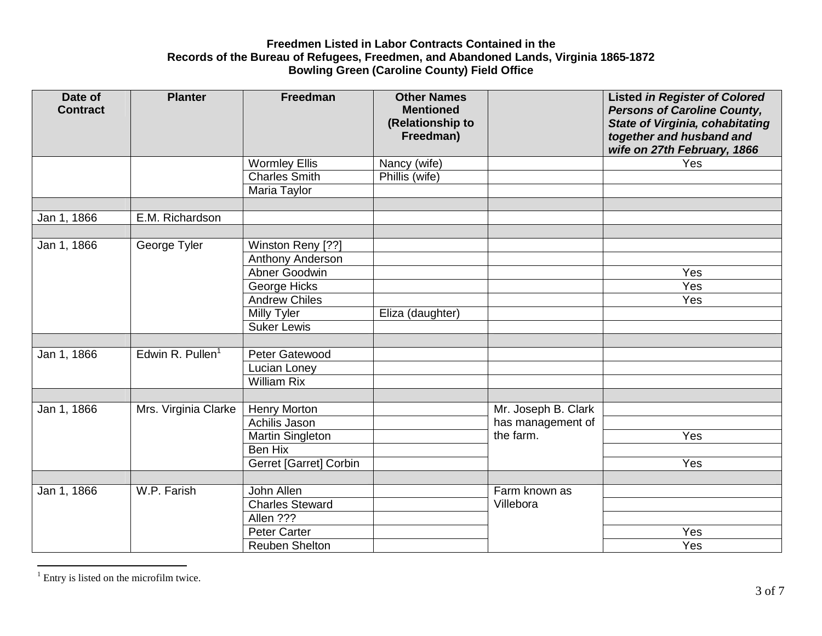| Date of<br><b>Contract</b> | <b>Planter</b>               | Freedman                      | <b>Other Names</b><br><b>Mentioned</b><br>(Relationship to<br>Freedman) |                     | <b>Listed in Register of Colored</b><br><b>Persons of Caroline County,</b><br><b>State of Virginia, cohabitating</b><br>together and husband and<br>wife on 27th February, 1866 |
|----------------------------|------------------------------|-------------------------------|-------------------------------------------------------------------------|---------------------|---------------------------------------------------------------------------------------------------------------------------------------------------------------------------------|
|                            |                              | <b>Wormley Ellis</b>          | Nancy (wife)                                                            |                     | Yes                                                                                                                                                                             |
|                            |                              | <b>Charles Smith</b>          | Phillis (wife)                                                          |                     |                                                                                                                                                                                 |
|                            |                              | Maria Taylor                  |                                                                         |                     |                                                                                                                                                                                 |
|                            |                              |                               |                                                                         |                     |                                                                                                                                                                                 |
| Jan 1, 1866                | E.M. Richardson              |                               |                                                                         |                     |                                                                                                                                                                                 |
|                            |                              |                               |                                                                         |                     |                                                                                                                                                                                 |
| Jan 1, 1866                | George Tyler                 | Winston Reny [??]             |                                                                         |                     |                                                                                                                                                                                 |
|                            |                              | Anthony Anderson              |                                                                         |                     |                                                                                                                                                                                 |
|                            |                              | Abner Goodwin                 |                                                                         |                     | Yes                                                                                                                                                                             |
|                            |                              | George Hicks                  |                                                                         |                     | Yes                                                                                                                                                                             |
|                            |                              | <b>Andrew Chiles</b>          |                                                                         |                     | Yes                                                                                                                                                                             |
|                            |                              | <b>Milly Tyler</b>            | Eliza (daughter)                                                        |                     |                                                                                                                                                                                 |
|                            |                              | <b>Suker Lewis</b>            |                                                                         |                     |                                                                                                                                                                                 |
|                            |                              |                               |                                                                         |                     |                                                                                                                                                                                 |
| Jan 1, 1866                | Edwin R. Pullen <sup>1</sup> | Peter Gatewood                |                                                                         |                     |                                                                                                                                                                                 |
|                            |                              | Lucian Loney                  |                                                                         |                     |                                                                                                                                                                                 |
|                            |                              | <b>William Rix</b>            |                                                                         |                     |                                                                                                                                                                                 |
|                            |                              |                               |                                                                         |                     |                                                                                                                                                                                 |
| Jan 1, 1866                | Mrs. Virginia Clarke         | <b>Henry Morton</b>           |                                                                         | Mr. Joseph B. Clark |                                                                                                                                                                                 |
|                            |                              | Achilis Jason                 |                                                                         | has management of   |                                                                                                                                                                                 |
|                            |                              | <b>Martin Singleton</b>       |                                                                         | the farm.           | Yes                                                                                                                                                                             |
|                            |                              | <b>Ben Hix</b>                |                                                                         |                     |                                                                                                                                                                                 |
|                            |                              | <b>Gerret [Garret] Corbin</b> |                                                                         |                     | Yes                                                                                                                                                                             |
|                            |                              |                               |                                                                         |                     |                                                                                                                                                                                 |
| Jan 1, 1866                | W.P. Farish                  | John Allen                    |                                                                         | Farm known as       |                                                                                                                                                                                 |
|                            |                              | <b>Charles Steward</b>        |                                                                         | Villebora           |                                                                                                                                                                                 |
|                            |                              | Allen ???                     |                                                                         |                     |                                                                                                                                                                                 |
|                            |                              | <b>Peter Carter</b>           |                                                                         |                     | Yes                                                                                                                                                                             |
|                            |                              | <b>Reuben Shelton</b>         |                                                                         |                     | Yes                                                                                                                                                                             |

<sup>&</sup>lt;sup>1</sup> Entry is listed on the microfilm twice.

 $\overline{a}$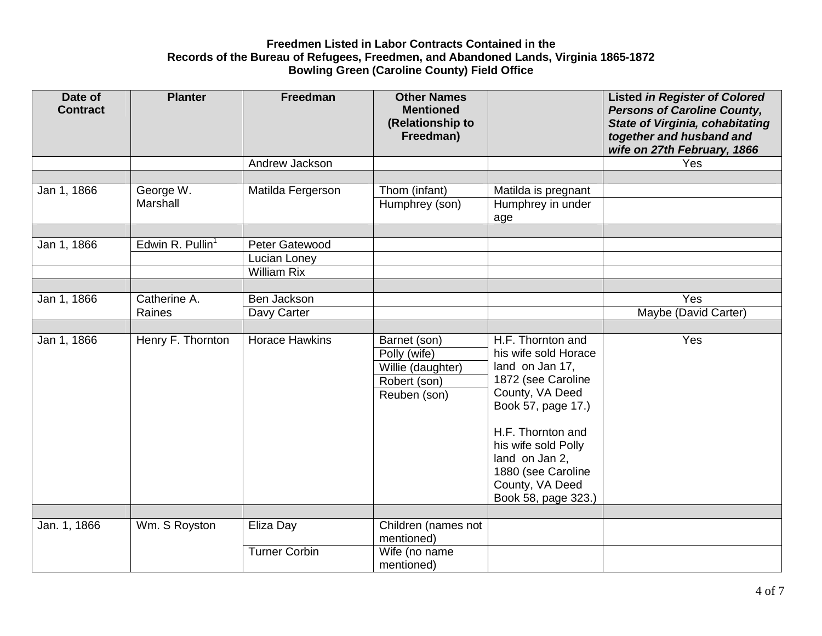| Date of<br><b>Contract</b> | <b>Planter</b>               | Freedman              | <b>Other Names</b><br><b>Mentioned</b><br>(Relationship to |                      | <b>Listed in Register of Colored</b><br><b>Persons of Caroline County,</b><br><b>State of Virginia, cohabitating</b> |
|----------------------------|------------------------------|-----------------------|------------------------------------------------------------|----------------------|----------------------------------------------------------------------------------------------------------------------|
|                            |                              |                       | Freedman)                                                  |                      | together and husband and<br>wife on 27th February, 1866                                                              |
|                            |                              | Andrew Jackson        |                                                            |                      | Yes                                                                                                                  |
|                            |                              |                       |                                                            |                      |                                                                                                                      |
| Jan 1, 1866                | George W.                    | Matilda Fergerson     | Thom (infant)                                              | Matilda is pregnant  |                                                                                                                      |
|                            | Marshall                     |                       | Humphrey (son)                                             | Humphrey in under    |                                                                                                                      |
|                            |                              |                       |                                                            | age                  |                                                                                                                      |
|                            |                              |                       |                                                            |                      |                                                                                                                      |
| Jan 1, 1866                | Edwin R. Pullin <sup>1</sup> | Peter Gatewood        |                                                            |                      |                                                                                                                      |
|                            |                              | Lucian Loney          |                                                            |                      |                                                                                                                      |
|                            |                              | <b>William Rix</b>    |                                                            |                      |                                                                                                                      |
|                            |                              |                       |                                                            |                      |                                                                                                                      |
| Jan 1, 1866                | Catherine A.                 | Ben Jackson           |                                                            |                      | Yes                                                                                                                  |
|                            | Raines                       | Davy Carter           |                                                            |                      | Maybe (David Carter)                                                                                                 |
|                            |                              |                       |                                                            |                      |                                                                                                                      |
| Jan 1, 1866                | Henry F. Thornton            | <b>Horace Hawkins</b> | Barnet (son)                                               | H.F. Thornton and    | Yes                                                                                                                  |
|                            |                              |                       | Polly (wife)                                               | his wife sold Horace |                                                                                                                      |
|                            |                              |                       | Willie (daughter)                                          | land on Jan 17,      |                                                                                                                      |
|                            |                              |                       | Robert (son)                                               | 1872 (see Caroline   |                                                                                                                      |
|                            |                              |                       | Reuben (son)                                               | County, VA Deed      |                                                                                                                      |
|                            |                              |                       |                                                            | Book 57, page 17.)   |                                                                                                                      |
|                            |                              |                       |                                                            |                      |                                                                                                                      |
|                            |                              |                       |                                                            | H.F. Thornton and    |                                                                                                                      |
|                            |                              |                       |                                                            | his wife sold Polly  |                                                                                                                      |
|                            |                              |                       |                                                            | land on Jan 2,       |                                                                                                                      |
|                            |                              |                       |                                                            | 1880 (see Caroline   |                                                                                                                      |
|                            |                              |                       |                                                            | County, VA Deed      |                                                                                                                      |
|                            |                              |                       |                                                            | Book 58, page 323.)  |                                                                                                                      |
| Jan. 1, 1866               | Wm. S Royston                | Eliza Day             | Children (names not                                        |                      |                                                                                                                      |
|                            |                              |                       | mentioned)                                                 |                      |                                                                                                                      |
|                            |                              | <b>Turner Corbin</b>  | Wife (no name                                              |                      |                                                                                                                      |
|                            |                              |                       | mentioned)                                                 |                      |                                                                                                                      |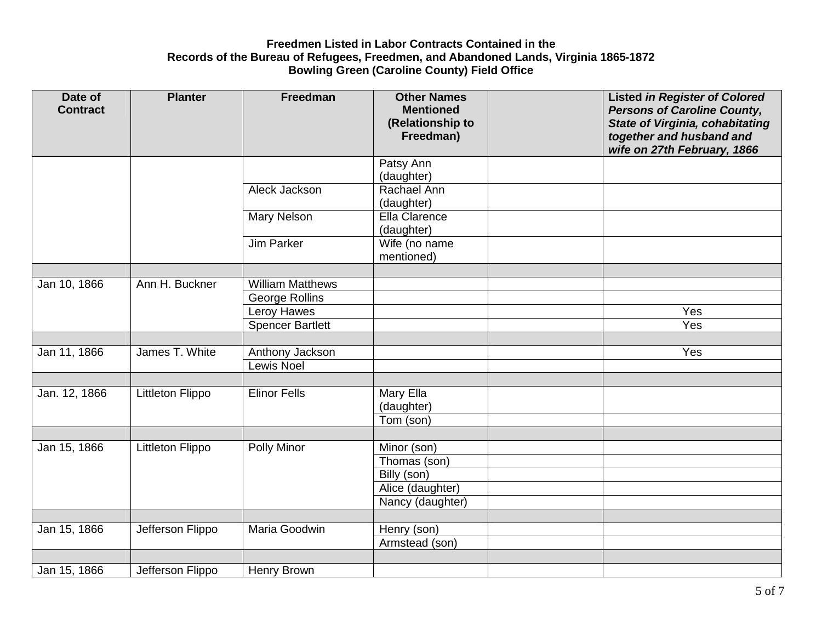| Date of<br><b>Contract</b> | <b>Planter</b>   | Freedman                             | <b>Other Names</b><br><b>Mentioned</b> | <b>Listed in Register of Colored</b><br><b>Persons of Caroline County,</b>                        |
|----------------------------|------------------|--------------------------------------|----------------------------------------|---------------------------------------------------------------------------------------------------|
|                            |                  |                                      | (Relationship to<br>Freedman)          | <b>State of Virginia, cohabitating</b><br>together and husband and<br>wife on 27th February, 1866 |
|                            |                  |                                      | Patsy Ann<br>(daughter)                |                                                                                                   |
|                            |                  | Aleck Jackson                        | Rachael Ann<br>(daughter)              |                                                                                                   |
|                            |                  | Mary Nelson                          | Ella Clarence<br>(daughter)            |                                                                                                   |
|                            |                  | Jim Parker                           | Wife (no name<br>mentioned)            |                                                                                                   |
|                            |                  |                                      |                                        |                                                                                                   |
| Jan 10, 1866               | Ann H. Buckner   | <b>William Matthews</b>              |                                        |                                                                                                   |
|                            |                  | <b>George Rollins</b><br>Leroy Hawes |                                        | Yes                                                                                               |
|                            |                  | <b>Spencer Bartlett</b>              |                                        | Yes                                                                                               |
|                            |                  |                                      |                                        |                                                                                                   |
| Jan 11, 1866               | James T. White   | Anthony Jackson                      |                                        | Yes                                                                                               |
|                            |                  | <b>Lewis Noel</b>                    |                                        |                                                                                                   |
|                            |                  |                                      |                                        |                                                                                                   |
| Jan. 12, 1866              | Littleton Flippo | <b>Elinor Fells</b>                  | Mary Ella<br>(daughter)                |                                                                                                   |
|                            |                  |                                      | Tom (son)                              |                                                                                                   |
|                            |                  |                                      |                                        |                                                                                                   |
| Jan 15, 1866               | Littleton Flippo | Polly Minor                          | Minor (son)                            |                                                                                                   |
|                            |                  |                                      | Thomas (son)                           |                                                                                                   |
|                            |                  |                                      | Billy (son)                            |                                                                                                   |
|                            |                  |                                      | Alice (daughter)                       |                                                                                                   |
|                            |                  |                                      | Nancy (daughter)                       |                                                                                                   |
|                            |                  |                                      |                                        |                                                                                                   |
| Jan 15, 1866               | Jefferson Flippo | Maria Goodwin                        | Henry (son)<br>Armstead (son)          |                                                                                                   |
|                            |                  |                                      |                                        |                                                                                                   |
| Jan 15, 1866               | Jefferson Flippo | <b>Henry Brown</b>                   |                                        |                                                                                                   |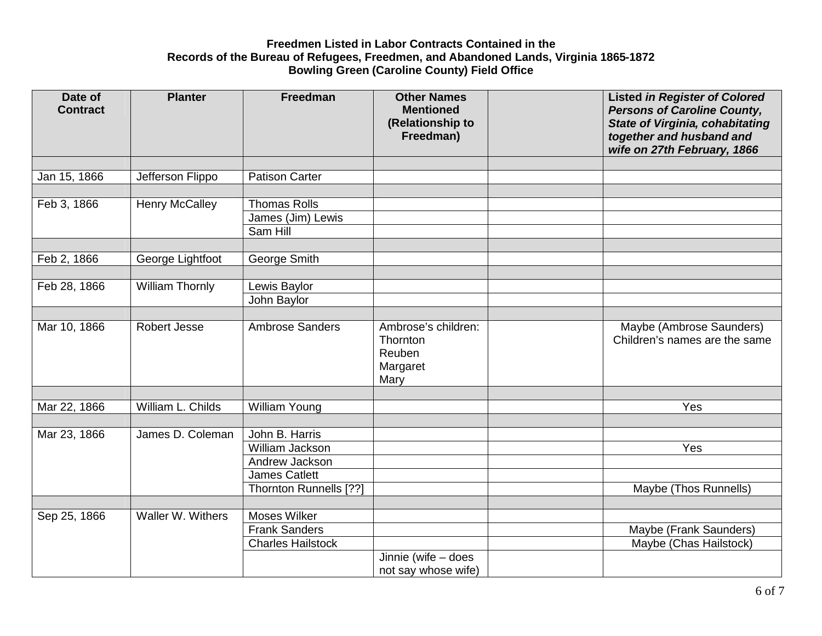| Date of<br><b>Contract</b> | <b>Planter</b>         | Freedman                 | <b>Other Names</b><br><b>Mentioned</b><br>(Relationship to<br>Freedman) | <b>Listed in Register of Colored</b><br><b>Persons of Caroline County,</b><br><b>State of Virginia, cohabitating</b><br>together and husband and<br>wife on 27th February, 1866 |
|----------------------------|------------------------|--------------------------|-------------------------------------------------------------------------|---------------------------------------------------------------------------------------------------------------------------------------------------------------------------------|
|                            |                        |                          |                                                                         |                                                                                                                                                                                 |
| Jan 15, 1866               | Jefferson Flippo       | <b>Patison Carter</b>    |                                                                         |                                                                                                                                                                                 |
|                            |                        |                          |                                                                         |                                                                                                                                                                                 |
| Feb 3, 1866                | <b>Henry McCalley</b>  | <b>Thomas Rolls</b>      |                                                                         |                                                                                                                                                                                 |
|                            |                        | James (Jim) Lewis        |                                                                         |                                                                                                                                                                                 |
|                            |                        | Sam Hill                 |                                                                         |                                                                                                                                                                                 |
|                            |                        |                          |                                                                         |                                                                                                                                                                                 |
| Feb 2, 1866                | George Lightfoot       | George Smith             |                                                                         |                                                                                                                                                                                 |
|                            |                        |                          |                                                                         |                                                                                                                                                                                 |
| Feb 28, 1866               | <b>William Thornly</b> | Lewis Baylor             |                                                                         |                                                                                                                                                                                 |
|                            |                        | John Baylor              |                                                                         |                                                                                                                                                                                 |
|                            |                        |                          |                                                                         |                                                                                                                                                                                 |
| Mar 10, 1866               | Robert Jesse           | <b>Ambrose Sanders</b>   | Ambrose's children:<br>Thornton<br>Reuben<br>Margaret<br>Mary           | Maybe (Ambrose Saunders)<br>Children's names are the same                                                                                                                       |
|                            |                        |                          |                                                                         |                                                                                                                                                                                 |
| Mar 22, 1866               | William L. Childs      | <b>William Young</b>     |                                                                         | Yes                                                                                                                                                                             |
|                            |                        |                          |                                                                         |                                                                                                                                                                                 |
| Mar 23, 1866               | James D. Coleman       | John B. Harris           |                                                                         |                                                                                                                                                                                 |
|                            |                        | William Jackson          |                                                                         | Yes                                                                                                                                                                             |
|                            |                        | Andrew Jackson           |                                                                         |                                                                                                                                                                                 |
|                            |                        | <b>James Catlett</b>     |                                                                         |                                                                                                                                                                                 |
|                            |                        | Thornton Runnells [??]   |                                                                         | Maybe (Thos Runnells)                                                                                                                                                           |
|                            |                        |                          |                                                                         |                                                                                                                                                                                 |
| Sep 25, 1866               | Waller W. Withers      | Moses Wilker             |                                                                         |                                                                                                                                                                                 |
|                            |                        | <b>Frank Sanders</b>     |                                                                         | Maybe (Frank Saunders)                                                                                                                                                          |
|                            |                        | <b>Charles Hailstock</b> |                                                                         | Maybe (Chas Hailstock)                                                                                                                                                          |
|                            |                        |                          | Jinnie (wife - does                                                     |                                                                                                                                                                                 |
|                            |                        |                          | not say whose wife)                                                     |                                                                                                                                                                                 |